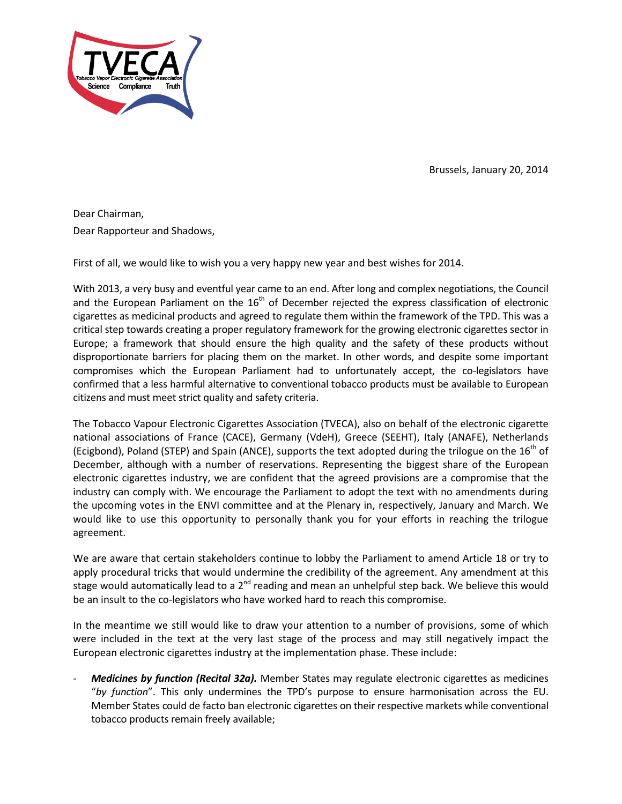

Brussels, January 20, 2014

Dear Chairman, Dear Rapporteur and Shadows,

First of all, we would like to wish you a very happy new year and best wishes for 2014.

With 2013, a very busy and eventful year came to an end. After long and complex negotiations, the Council and the European Parliament on the  $16<sup>th</sup>$  of December rejected the express classification of electronic cigarettes as medicinal products and agreed to regulate them within the framework of the TPD. This was a critical step towards creating a proper regulatory framework for the growing electronic cigarettes sector in Europe; a framework that should ensure the high quality and the safety of these products without disproportionate barriers for placing them on the market. In other words, and despite some important compromises which the European Parliament had to unfortunately accept, the co-legislators have confirmed that a less harmful alternative to conventional tobacco products must be available to European citizens and must meet strict quality and safety criteria.

The Tobacco Vapour Electronic Cigarettes Association (TVECA), also on behalf of the electronic cigarette national associations of France (CACE), Germany (VdeH), Greece (SEEHT), Italy (ANAFE), Netherlands (Ecigbond), Poland (STEP) and Spain (ANCE), supports the text adopted during the trilogue on the  $16<sup>th</sup>$  of December, although with a number of reservations. Representing the biggest share of the European electronic cigarettes industry, we are confident that the agreed provisions are a compromise that the industry can comply with. We encourage the Parliament to adopt the text with no amendments during the upcoming votes in the ENVI committee and at the Plenary in, respectively, January and March. We would like to use this opportunity to personally thank you for your efforts in reaching the trilogue agreement.

We are aware that certain stakeholders continue to lobby the Parliament to amend Article 18 or try to apply procedural tricks that would undermine the credibility of the agreement. Any amendment at this stage would automatically lead to a 2<sup>nd</sup> reading and mean an unhelpful step back. We believe this would be an insult to the co-legislators who have worked hard to reach this compromise.

In the meantime we still would like to draw your attention to a number of provisions, some of which were included in the text at the very last stage of the process and may still negatively impact the European electronic cigarettes industry at the implementation phase. These include:

- *Medicines by function (Recital 32a).* Member States may regulate electronic cigarettes as medicines "*by function*". This only undermines the TPD's purpose to ensure harmonisation across the EU. Member States could de facto ban electronic cigarettes on their respective markets while conventional tobacco products remain freely available;